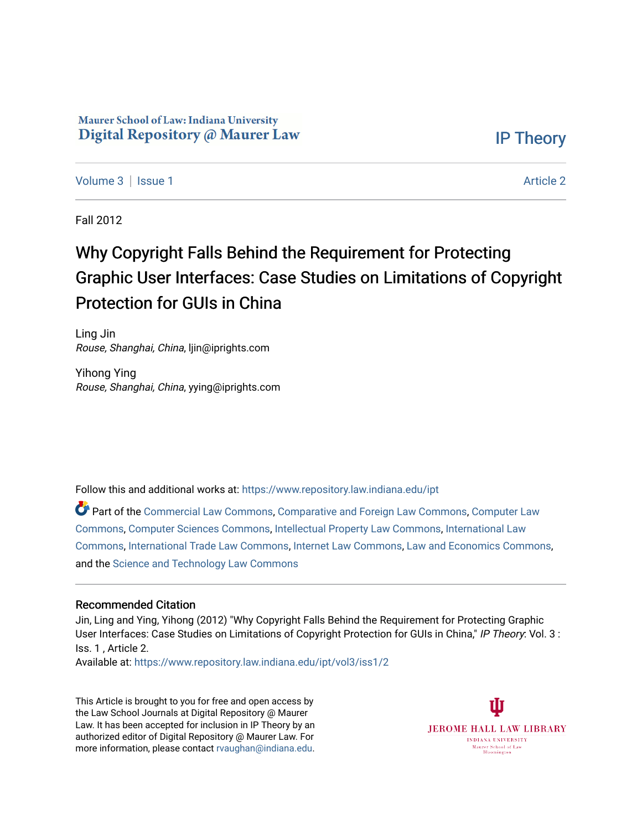## Maurer School of Law: Indiana University Digital Repository @ Maurer Law

[IP Theory](https://www.repository.law.indiana.edu/ipt) 

[Volume 3](https://www.repository.law.indiana.edu/ipt/vol3) | [Issue 1](https://www.repository.law.indiana.edu/ipt/vol3/iss1) [Article 2](https://www.repository.law.indiana.edu/ipt/vol3/iss1/2) | Article 2 | Article 2 | Article 2 | Article 2 | Article 2 | Article 2 | Article 2

Fall 2012

## Why Copyright Falls Behind the Requirement for Protecting Graphic User Interfaces: Case Studies on Limitations of Copyright Protection for GUIs in China

Ling Jin Rouse, Shanghai, China, ljin@iprights.com

Yihong Ying Rouse, Shanghai, China, yying@iprights.com

Follow this and additional works at: [https://www.repository.law.indiana.edu/ipt](https://www.repository.law.indiana.edu/ipt?utm_source=www.repository.law.indiana.edu%2Fipt%2Fvol3%2Fiss1%2F2&utm_medium=PDF&utm_campaign=PDFCoverPages) 

Part of the [Commercial Law Commons](http://network.bepress.com/hgg/discipline/586?utm_source=www.repository.law.indiana.edu%2Fipt%2Fvol3%2Fiss1%2F2&utm_medium=PDF&utm_campaign=PDFCoverPages), [Comparative and Foreign Law Commons,](http://network.bepress.com/hgg/discipline/836?utm_source=www.repository.law.indiana.edu%2Fipt%2Fvol3%2Fiss1%2F2&utm_medium=PDF&utm_campaign=PDFCoverPages) [Computer Law](http://network.bepress.com/hgg/discipline/837?utm_source=www.repository.law.indiana.edu%2Fipt%2Fvol3%2Fiss1%2F2&utm_medium=PDF&utm_campaign=PDFCoverPages)  [Commons](http://network.bepress.com/hgg/discipline/837?utm_source=www.repository.law.indiana.edu%2Fipt%2Fvol3%2Fiss1%2F2&utm_medium=PDF&utm_campaign=PDFCoverPages), [Computer Sciences Commons,](http://network.bepress.com/hgg/discipline/142?utm_source=www.repository.law.indiana.edu%2Fipt%2Fvol3%2Fiss1%2F2&utm_medium=PDF&utm_campaign=PDFCoverPages) [Intellectual Property Law Commons,](http://network.bepress.com/hgg/discipline/896?utm_source=www.repository.law.indiana.edu%2Fipt%2Fvol3%2Fiss1%2F2&utm_medium=PDF&utm_campaign=PDFCoverPages) [International Law](http://network.bepress.com/hgg/discipline/609?utm_source=www.repository.law.indiana.edu%2Fipt%2Fvol3%2Fiss1%2F2&utm_medium=PDF&utm_campaign=PDFCoverPages)  [Commons](http://network.bepress.com/hgg/discipline/609?utm_source=www.repository.law.indiana.edu%2Fipt%2Fvol3%2Fiss1%2F2&utm_medium=PDF&utm_campaign=PDFCoverPages), [International Trade Law Commons,](http://network.bepress.com/hgg/discipline/848?utm_source=www.repository.law.indiana.edu%2Fipt%2Fvol3%2Fiss1%2F2&utm_medium=PDF&utm_campaign=PDFCoverPages) [Internet Law Commons,](http://network.bepress.com/hgg/discipline/892?utm_source=www.repository.law.indiana.edu%2Fipt%2Fvol3%2Fiss1%2F2&utm_medium=PDF&utm_campaign=PDFCoverPages) [Law and Economics Commons,](http://network.bepress.com/hgg/discipline/612?utm_source=www.repository.law.indiana.edu%2Fipt%2Fvol3%2Fiss1%2F2&utm_medium=PDF&utm_campaign=PDFCoverPages) and the [Science and Technology Law Commons](http://network.bepress.com/hgg/discipline/875?utm_source=www.repository.law.indiana.edu%2Fipt%2Fvol3%2Fiss1%2F2&utm_medium=PDF&utm_campaign=PDFCoverPages) 

#### Recommended Citation

Jin, Ling and Ying, Yihong (2012) "Why Copyright Falls Behind the Requirement for Protecting Graphic User Interfaces: Case Studies on Limitations of Copyright Protection for GUIs in China," IP Theory: Vol. 3 : Iss. 1 , Article 2.

Available at: [https://www.repository.law.indiana.edu/ipt/vol3/iss1/2](https://www.repository.law.indiana.edu/ipt/vol3/iss1/2?utm_source=www.repository.law.indiana.edu%2Fipt%2Fvol3%2Fiss1%2F2&utm_medium=PDF&utm_campaign=PDFCoverPages) 

This Article is brought to you for free and open access by the Law School Journals at Digital Repository @ Maurer Law. It has been accepted for inclusion in IP Theory by an authorized editor of Digital Repository @ Maurer Law. For more information, please contact [rvaughan@indiana.edu](mailto:rvaughan@indiana.edu).

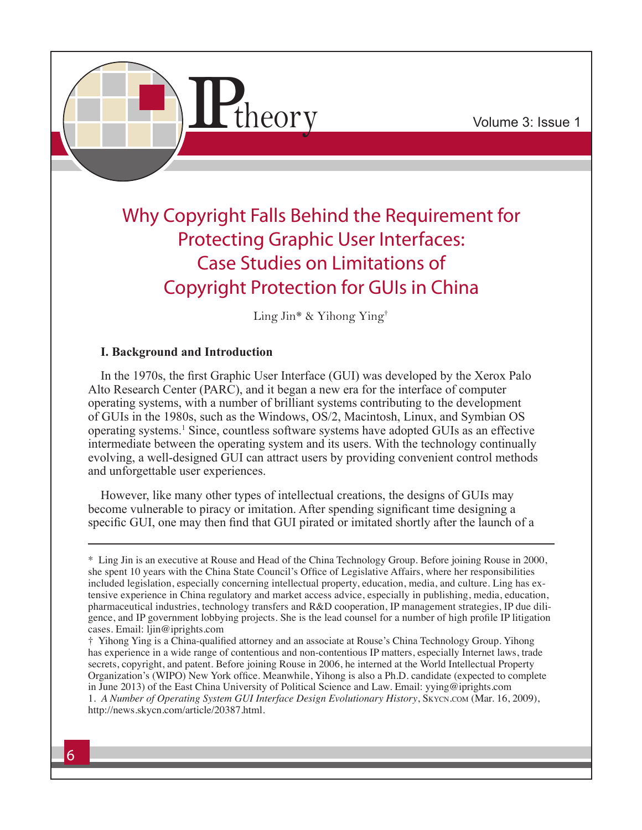

# Why Copyright Falls Behind the Requirement for Protecting Graphic User Interfaces: Case Studies on Limitations of Copyright Protection for GUIs in China

Ling Jin\* & Yihong Ying†

## **I. Background and Introduction**

In the 1970s, the first Graphic User Interface (GUI) was developed by the Xerox Palo Alto Research Center (PARC), and it began a new era for the interface of computer operating systems, with a number of brilliant systems contributing to the development of GUIs in the 1980s, such as the Windows, OS/2, Macintosh, Linux, and Symbian OS operating systems.<sup>1</sup> Since, countless software systems have adopted GUIs as an effective intermediate between the operating system and its users. With the technology continually evolving, a well-designed GUI can attract users by providing convenient control methods and unforgettable user experiences.

However, like many other types of intellectual creations, the designs of GUIs may become vulnerable to piracy or imitation. After spending significant time designing a specific GUI, one may then find that GUI pirated or imitated shortly after the launch of a

<sup>\*</sup> Ling Jin is an executive at Rouse and Head of the China Technology Group. Before joining Rouse in 2000, she spent 10 years with the China State Council's Office of Legislative Affairs, where her responsibilities included legislation, especially concerning intellectual property, education, media, and culture. Ling has extensive experience in China regulatory and market access advice, especially in publishing, media, education, pharmaceutical industries, technology transfers and R&D cooperation, IP management strategies, IP due diligence, and IP government lobbying projects. She is the lead counsel for a number of high profile IP litigation cases. Email: ljin@iprights.com

<sup>†</sup> Yihong Ying is a China-qualified attorney and an associate at Rouse's China Technology Group. Yihong has experience in a wide range of contentious and non-contentious IP matters, especially Internet laws, trade secrets, copyright, and patent. Before joining Rouse in 2006, he interned at the World Intellectual Property Organization's (WIPO) New York office. Meanwhile, Yihong is also a Ph.D. candidate (expected to complete in June 2013) of the East China University of Political Science and Law. Email: yying@iprights.com 1. *A Number of Operating System GUI Interface Design Evolutionary History*, Skycn.com (Mar. 16, 2009), http://news.skycn.com/article/20387.html.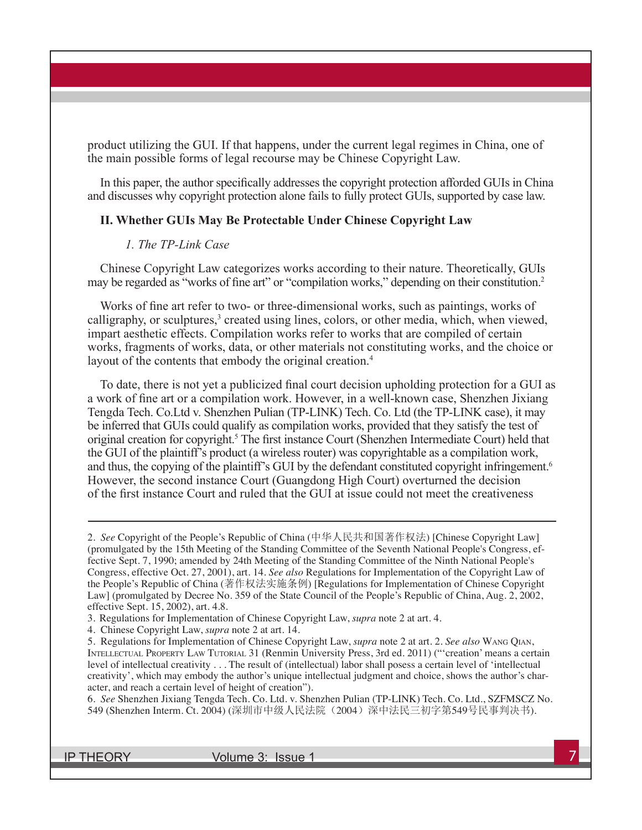product utilizing the GUI. If that happens, under the current legal regimes in China, one of the main possible forms of legal recourse may be Chinese Copyright Law.

In this paper, the author specifically addresses the copyright protection afforded GUIs in China and discusses why copyright protection alone fails to fully protect GUIs, supported by case law.

#### **II. Whether GUIs May Be Protectable Under Chinese Copyright Law**

#### *1. The TP-Link Case*

Chinese Copyright Law categorizes works according to their nature. Theoretically, GUIs may be regarded as "works of fine art" or "compilation works," depending on their constitution.<sup>2</sup>

Works of fine art refer to two- or three-dimensional works, such as paintings, works of calligraphy, or sculptures,<sup>3</sup> created using lines, colors, or other media, which, when viewed, impart aesthetic effects. Compilation works refer to works that are compiled of certain works, fragments of works, data, or other materials not constituting works, and the choice or layout of the contents that embody the original creation.<sup>4</sup>

To date, there is not yet a publicized final court decision upholding protection for a GUI as a work of fine art or a compilation work. However, in a well-known case, Shenzhen Jixiang Tengda Tech. Co.Ltd v. Shenzhen Pulian (TP-LINK) Tech. Co. Ltd (the TP-LINK case), it may be inferred that GUIs could qualify as compilation works, provided that they satisfy the test of original creation for copyright.<sup>5</sup> The first instance Court (Shenzhen Intermediate Court) held that the GUI of the plaintiff's product (a wireless router) was copyrightable as a compilation work, and thus, the copying of the plaintiff's GUI by the defendant constituted copyright infringement.<sup>6</sup> However, the second instance Court (Guangdong High Court) overturned the decision of the first instance Court and ruled that the GUI at issue could not meet the creativeness

4. Chinese Copyright Law, *supra* note 2 at art. 14.

6. *See* Shenzhen Jixiang Tengda Tech. Co. Ltd. v. Shenzhen Pulian (TP-LINK) Tech. Co. Ltd., SZFMSCZ No. 549 (Shenzhen Interm. Ct. 2004) (深圳市中级人民法院(2004) 深中法民三初字第549号民事判决书).

<sup>2.</sup> *See* Copyright of the People's Republic of China (中华人民共和国著作权法) [Chinese Copyright Law] (promulgated by the 15th Meeting of the Standing Committee of the Seventh National People's Congress, effective Sept. 7, 1990; amended by 24th Meeting of the Standing Committee of the Ninth National People's Congress, effective Oct. 27, 2001), art. 14. *See also* Regulations for Implementation of the Copyright Law of the People's Republic of China (著作权法实施条例) [Regulations for Implementation of Chinese Copyright Law] (promulgated by Decree No. 359 of the State Council of the People's Republic of China, Aug. 2, 2002, effective Sept. 15, 2002), art. 4.8.

<sup>3.</sup> Regulations for Implementation of Chinese Copyright Law, *supra* note 2 at art. 4.

<sup>5.</sup> Regulations for Implementation of Chinese Copyright Law, *supra* note 2 at art. 2. *See also* Wang Qian, Intellectual Property Law Tutorial 31 (Renmin University Press, 3rd ed. 2011) ("'creation' means a certain level of intellectual creativity . . . The result of (intellectual) labor shall posess a certain level of 'intellectual creativity', which may embody the author's unique intellectual judgment and choice, shows the author's character, and reach a certain level of height of creation").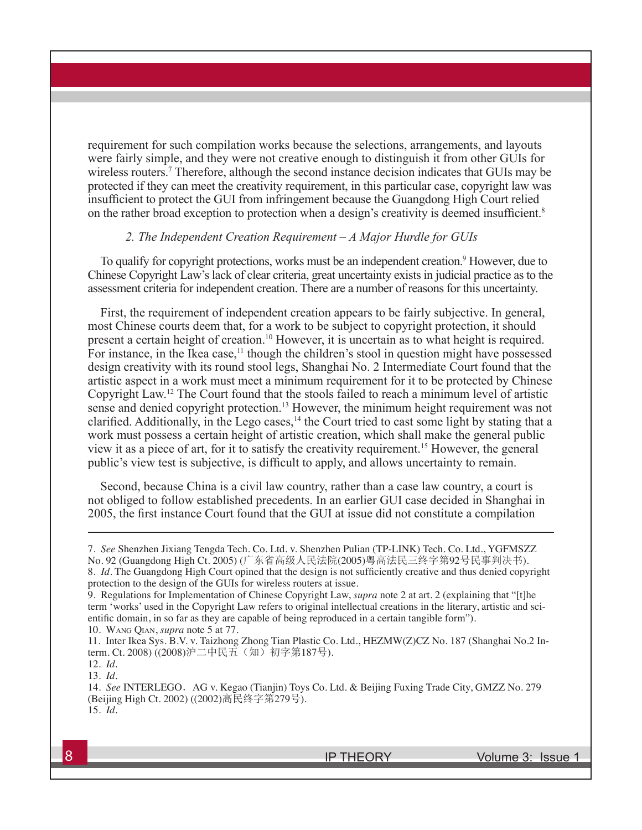requirement for such compilation works because the selections, arrangements, and layouts were fairly simple, and they were not creative enough to distinguish it from other GUIs for wireless routers.<sup>7</sup> Therefore, although the second instance decision indicates that GUIs may be protected if they can meet the creativity requirement, in this particular case, copyright law was insufficient to protect the GUI from infringement because the Guangdong High Court relied on the rather broad exception to protection when a design's creativity is deemed insufficient.<sup>8</sup>

#### *2. The Independent Creation Requirement – A Major Hurdle for GUIs*

To qualify for copyright protections, works must be an independent creation.<sup>9</sup> However, due to Chinese Copyright Law's lack of clear criteria, great uncertainty exists in judicial practice as to the assessment criteria for independent creation. There are a number of reasons for this uncertainty.

First, the requirement of independent creation appears to be fairly subjective. In general, most Chinese courts deem that, for a work to be subject to copyright protection, it should present a certain height of creation.<sup>10</sup> However, it is uncertain as to what height is required. For instance, in the Ikea case,<sup>11</sup> though the children's stool in question might have possessed design creativity with its round stool legs, Shanghai No. 2 Intermediate Court found that the artistic aspect in a work must meet a minimum requirement for it to be protected by Chinese Copyright Law.12 The Court found that the stools failed to reach a minimum level of artistic sense and denied copyright protection.<sup>13</sup> However, the minimum height requirement was not clarified. Additionally, in the Lego cases,<sup>14</sup> the Court tried to cast some light by stating that a work must possess a certain height of artistic creation, which shall make the general public view it as a piece of art, for it to satisfy the creativity requirement.<sup>15</sup> However, the general public's view test is subjective, is difficult to apply, and allows uncertainty to remain.

Second, because China is a civil law country, rather than a case law country, a court is not obliged to follow established precedents. In an earlier GUI case decided in Shanghai in 2005, the first instance Court found that the GUI at issue did not constitute a compilation

<sup>7.</sup> *See* Shenzhen Jixiang Tengda Tech. Co. Ltd. v. Shenzhen Pulian (TP-LINK) Tech. Co. Ltd., YGFMSZZ No. 92 (Guangdong High Ct. 2005) (广东省高级人民法院(2005)粤高法民三终字第92号民事判决书).

<sup>8.</sup> *Id.* The Guangdong High Court opined that the design is not sufficiently creative and thus denied copyright protection to the design of the GUIs for wireless routers at issue.

<sup>9.</sup> Regulations for Implementation of Chinese Copyright Law, *supra* note 2 at art. 2 (explaining that "[t]he term 'works' used in the Copyright Law refers to original intellectual creations in the literary, artistic and scientific domain, in so far as they are capable of being reproduced in a certain tangible form").

<sup>10.</sup> Wang Qian, *supra* note 5 at 77.

<sup>11.</sup> Inter Ikea Sys. B.V. v. Taizhong Zhong Tian Plastic Co. Ltd., HEZMW(Z)CZ No. 187 (Shanghai No.2 Interm. Ct. 2008) ((2008) 沪二中民五(知)初字第187号).

<sup>12.</sup> *Id.* 13. *Id.*

<sup>14.</sup> *See* INTERLEGO.AG v. Kegao (Tianjin) Toys Co. Ltd. & Beijing Fuxing Trade City, GMZZ No. 279 (Beijing High Ct. 2002) ((2002)高民终字第279号). 15. *Id.*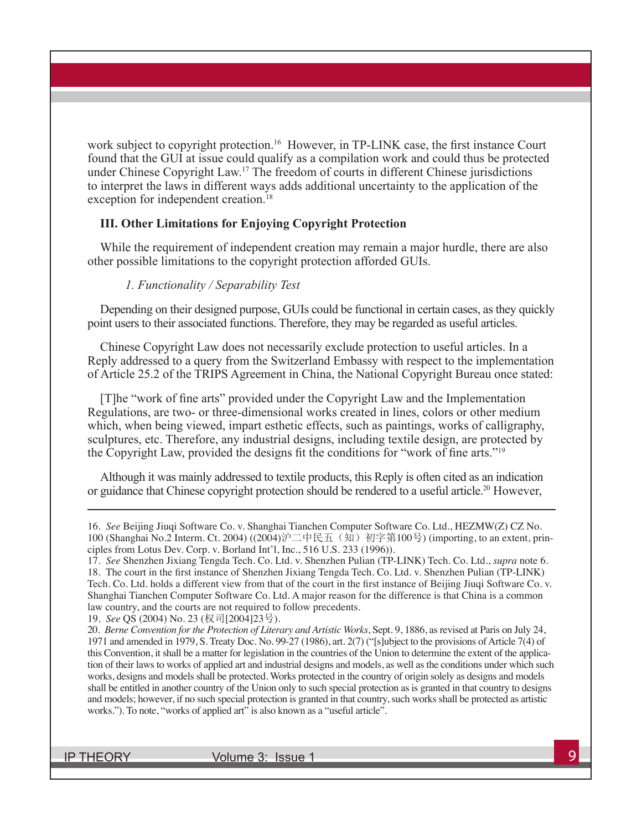work subject to copyright protection.<sup>16</sup> However, in TP-LINK case, the first instance Court found that the GUI at issue could qualify as a compilation work and could thus be protected under Chinese Copyright Law.<sup>17</sup> The freedom of courts in different Chinese jurisdictions to interpret the laws in different ways adds additional uncertainty to the application of the exception for independent creation.<sup>18</sup>

#### **III. Other Limitations for Enjoying Copyright Protection**

While the requirement of independent creation may remain a major hurdle, there are also other possible limitations to the copyright protection afforded GUIs.

#### *1. Functionality / Separability Test*

Depending on their designed purpose, GUIs could be functional in certain cases, as they quickly point users to their associated functions. Therefore, they may be regarded as useful articles.

Chinese Copyright Law does not necessarily exclude protection to useful articles. In a Reply addressed to a query from the Switzerland Embassy with respect to the implementation of Article 25.2 of the TRIPS Agreement in China, the National Copyright Bureau once stated:

[T]he "work of fine arts" provided under the Copyright Law and the Implementation Regulations, are two- or three-dimensional works created in lines, colors or other medium which, when being viewed, impart esthetic effects, such as paintings, works of calligraphy, sculptures, etc. Therefore, any industrial designs, including textile design, are protected by the Copyright Law, provided the designs fit the conditions for "work of fine arts."<sup>19</sup>

Although it was mainly addressed to textile products, this Reply is often cited as an indication or guidance that Chinese copyright protection should be rendered to a useful article.20 However,

IP THEORY Volume 3: Issue 1

<sup>16.</sup> *See* Beijing Jiuqi Software Co. v. Shanghai Tianchen Computer Software Co. Ltd., HEZMW(Z) CZ No. 100 (Shanghai No.2 Interm. Ct. 2004) ((2004)沪二中民五(知)初字第100号) (importing, to an extent, principles from Lotus Dev. Corp. v. Borland Int'l, Inc., 516 U.S. 233 (1996)).

<sup>17.</sup> *See* Shenzhen Jixiang Tengda Tech. Co. Ltd. v. Shenzhen Pulian (TP-LINK) Tech. Co. Ltd., *supra* note 6. 18. The court in the first instance of Shenzhen Jixiang Tengda Tech. Co. Ltd. v. Shenzhen Pulian (TP-LINK) Tech. Co. Ltd. holds a different view from that of the court in the first instance of Beijing Jiuqi Software Co. v. Shanghai Tianchen Computer Software Co. Ltd. A major reason for the difference is that China is a common law country, and the courts are not required to follow precedents.

<sup>19.</sup> *See* QS (2004) No. 23 (权司[2004]23号).

<sup>20.</sup> *Berne Convention for the Protection of Literary and Artistic Works*, Sept. 9, 1886, as revised at Paris on July 24, 1971 and amended in 1979, S. Treaty Doc. No. 99-27 (1986), art. 2(7) ("[s]ubject to the provisions of Article 7(4) of this Convention, it shall be a matter for legislation in the countries of the Union to determine the extent of the application of their laws to works of applied art and industrial designs and models, as well as the conditions under which such works, designs and models shall be protected. Works protected in the country of origin solely as designs and models shall be entitled in another country of the Union only to such special protection as is granted in that country to designs and models; however, if no such special protection is granted in that country, such works shall be protected as artistic works."). To note, "works of applied art" is also known as a "useful article".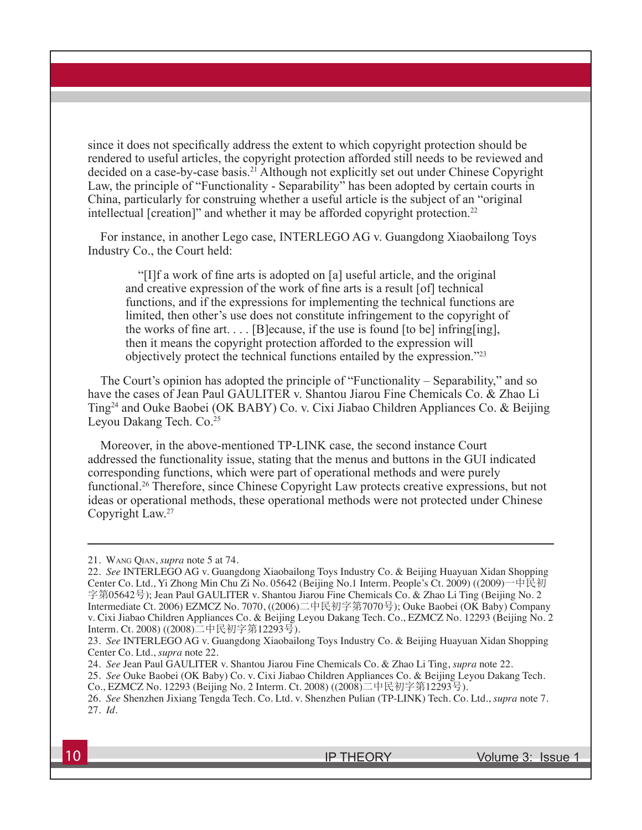since it does not specifically address the extent to which copyright protection should be rendered to useful articles, the copyright protection afforded still needs to be reviewed and decided on a case-by-case basis.<sup>21</sup> Although not explicitly set out under Chinese Copyright Law, the principle of "Functionality - Separability" has been adopted by certain courts in China, particularly for construing whether a useful article is the subject of an "original intellectual [creation]" and whether it may be afforded copyright protection.<sup>22</sup>

For instance, in another Lego case, INTERLEGO AG v. Guangdong Xiaobailong Toys Industry Co., the Court held:

"[I]f a work of fine arts is adopted on [a] useful article, and the original and creative expression of the work of fine arts is a result [of] technical functions, and if the expressions for implementing the technical functions are limited, then other's use does not constitute infringement to the copyright of the works of fine art.  $\ldots$  [B]ecause, if the use is found [to be] infring[ing], then it means the copyright protection afforded to the expression will objectively protect the technical functions entailed by the expression."23

The Court's opinion has adopted the principle of "Functionality – Separability," and so have the cases of Jean Paul GAULITER v. Shantou Jiarou Fine Chemicals Co. & Zhao Li Ting24 and Ouke Baobei (OK BABY) Co. v. Cixi Jiabao Children Appliances Co. & Beijing Leyou Dakang Tech. Co.<sup>25</sup>

Moreover, in the above-mentioned TP-LINK case, the second instance Court addressed the functionality issue, stating that the menus and buttons in the GUI indicated corresponding functions, which were part of operational methods and were purely functional.26 Therefore, since Chinese Copyright Law protects creative expressions, but not ideas or operational methods, these operational methods were not protected under Chinese Copyright Law.27

<sup>21.</sup> Wang Qian, *supra* note 5 at 74.

<sup>22.</sup> *See* INTERLEGO AG v. Guangdong Xiaobailong Toys Industry Co. & Beijing Huayuan Xidan Shopping Center Co. Ltd., Yi Zhong Min Chu Zi No. 05642 (Beijing No.1 Interm. People's Ct. 2009) ((2009)一中民初 字第05642号); Jean Paul GAULITER v. Shantou Jiarou Fine Chemicals Co. & Zhao Li Ting (Beijing No. 2 Intermediate Ct. 2006) EZMCZ No. 7070, ((2006)二中民初字第7070号); Ouke Baobei (OK Baby) Company v. Cixi Jiabao Children Appliances Co. & Beijing Leyou Dakang Tech. Co., EZMCZ No. 12293 (Beijing No. 2 Interm. Ct. 2008) ((2008)二中民初字第12293号).

<sup>23.</sup> *See* INTERLEGO AG v. Guangdong Xiaobailong Toys Industry Co. & Beijing Huayuan Xidan Shopping Center Co. Ltd., *supra* note 22.

<sup>24.</sup> *See* Jean Paul GAULITER v. Shantou Jiarou Fine Chemicals Co. & Zhao Li Ting, *supra* note 22.

<sup>25.</sup> *See* Ouke Baobei (OK Baby) Co. v. Cixi Jiabao Children Appliances Co. & Beijing Leyou Dakang Tech.

Co., EZMCZ No. 12293 (Beijing No. 2 Interm. Ct. 2008) ((2008)二中民初字第12293号).

<sup>26.</sup> *See* Shenzhen Jixiang Tengda Tech. Co. Ltd. v. Shenzhen Pulian (TP-LINK) Tech. Co. Ltd., *supra* note 7. 27. *Id.*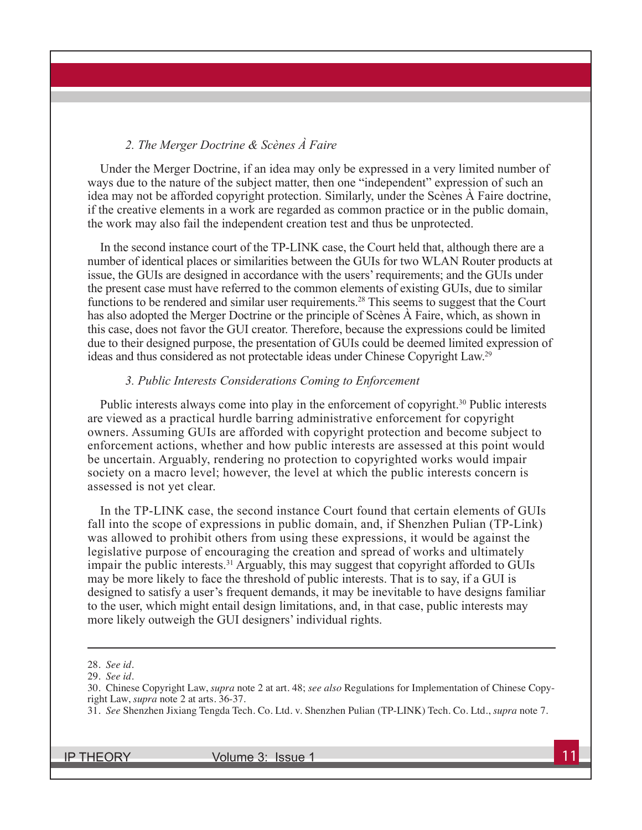## *2. The Merger Doctrine & Scènes À Faire*

Under the Merger Doctrine, if an idea may only be expressed in a very limited number of ways due to the nature of the subject matter, then one "independent" expression of such an idea may not be afforded copyright protection. Similarly, under the Scènes À Faire doctrine, if the creative elements in a work are regarded as common practice or in the public domain, the work may also fail the independent creation test and thus be unprotected.

In the second instance court of the TP-LINK case, the Court held that, although there are a number of identical places or similarities between the GUIs for two WLAN Router products at issue, the GUIs are designed in accordance with the users' requirements; and the GUIs under the present case must have referred to the common elements of existing GUIs, due to similar functions to be rendered and similar user requirements.<sup>28</sup> This seems to suggest that the Court has also adopted the Merger Doctrine or the principle of Scènes À Faire, which, as shown in this case, does not favor the GUI creator. Therefore, because the expressions could be limited due to their designed purpose, the presentation of GUIs could be deemed limited expression of ideas and thus considered as not protectable ideas under Chinese Copyright Law.29

#### *3. Public Interests Considerations Coming to Enforcement*

Public interests always come into play in the enforcement of copyright.<sup>30</sup> Public interests are viewed as a practical hurdle barring administrative enforcement for copyright owners. Assuming GUIs are afforded with copyright protection and become subject to enforcement actions, whether and how public interests are assessed at this point would be uncertain. Arguably, rendering no protection to copyrighted works would impair society on a macro level; however, the level at which the public interests concern is assessed is not yet clear.

In the TP-LINK case, the second instance Court found that certain elements of GUIs fall into the scope of expressions in public domain, and, if Shenzhen Pulian (TP-Link) was allowed to prohibit others from using these expressions, it would be against the legislative purpose of encouraging the creation and spread of works and ultimately impair the public interests.<sup>31</sup> Arguably, this may suggest that copyright afforded to GUIs may be more likely to face the threshold of public interests. That is to say, if a GUI is designed to satisfy a user's frequent demands, it may be inevitable to have designs familiar to the user, which might entail design limitations, and, in that case, public interests may more likely outweigh the GUI designers' individual rights.

IP THEORY Volume 3: Issue 1 11

<sup>28.</sup> *See id.*

<sup>29.</sup> *See id.*

<sup>30.</sup> Chinese Copyright Law, *supra* note 2 at art. 48; *see also* Regulations for Implementation of Chinese Copyright Law, *supra* note 2 at arts. 36-37.

<sup>31.</sup> *See* Shenzhen Jixiang Tengda Tech. Co. Ltd. v. Shenzhen Pulian (TP-LINK) Tech. Co. Ltd., *supra* note 7.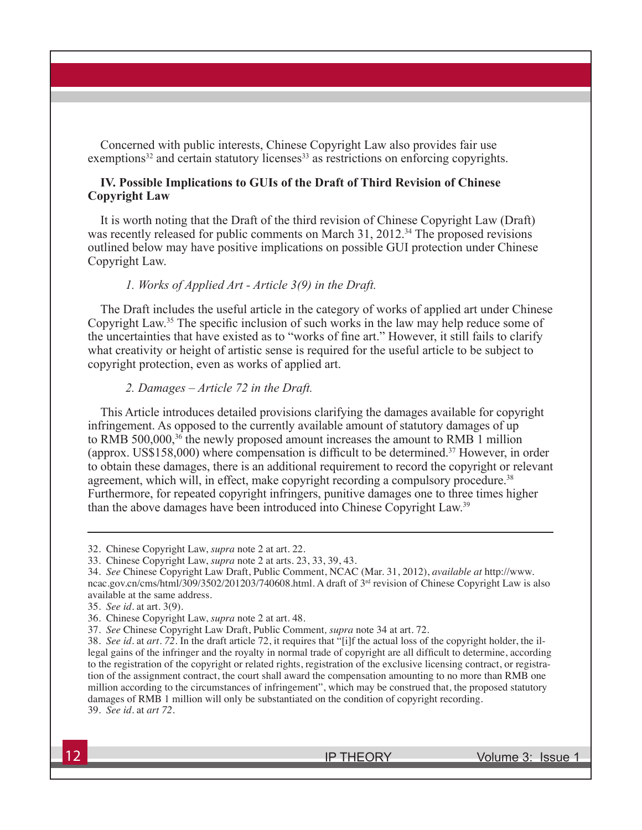Concerned with public interests, Chinese Copyright Law also provides fair use  $exemptions<sup>32</sup>$  and certain statutory licenses<sup>33</sup> as restrictions on enforcing copyrights.

## **IV. Possible Implications to GUIs of the Draft of Third Revision of Chinese Copyright Law**

It is worth noting that the Draft of the third revision of Chinese Copyright Law (Draft) was recently released for public comments on March 31, 2012.<sup>34</sup> The proposed revisions outlined below may have positive implications on possible GUI protection under Chinese Copyright Law.

#### *1. Works of Applied Art - Article 3(9) in the Draft.*

The Draft includes the useful article in the category of works of applied art under Chinese Copyright Law.<sup>35</sup> The specific inclusion of such works in the law may help reduce some of the uncertainties that have existed as to "works of fine art." However, it still fails to clarify what creativity or height of artistic sense is required for the useful article to be subject to copyright protection, even as works of applied art.

#### *2. Damages – Article 72 in the Draft.*

This Article introduces detailed provisions clarifying the damages available for copyright infringement. As opposed to the currently available amount of statutory damages of up to RMB 500,000,<sup>36</sup> the newly proposed amount increases the amount to RMB 1 million (approx. US\$158,000) where compensation is difficult to be determined.<sup>37</sup> However, in order to obtain these damages, there is an additional requirement to record the copyright or relevant agreement, which will, in effect, make copyright recording a compulsory procedure.<sup>38</sup> Furthermore, for repeated copyright infringers, punitive damages one to three times higher than the above damages have been introduced into Chinese Copyright Law.39

**12** IP THEORY Volume 3: Issue 1

<sup>32.</sup> Chinese Copyright Law, *supra* note 2 at art. 22.

<sup>33.</sup> Chinese Copyright Law, *supra* note 2 at arts. 23, 33, 39, 43.

<sup>34.</sup> *See* Chinese Copyright Law Draft, Public Comment, NCAC (Mar. 31, 2012), *available at* http://www. ncac.gov.cn/cms/html/309/3502/201203/740608.html. A draft of 3<sup>rd</sup> revision of Chinese Copyright Law is also available at the same address.

<sup>35.</sup> *See id*. at art. 3(9)*.*

<sup>36.</sup> Chinese Copyright Law, *supra* note 2 at art. 48.

<sup>37.</sup> *See* Chinese Copyright Law Draft, Public Comment*, supra* note 34 at art. 72.

<sup>38.</sup> *See id.* at *art. 72.* In the draft article 72, it requires that "[i]f the actual loss of the copyright holder, the illegal gains of the infringer and the royalty in normal trade of copyright are all difficult to determine, according to the registration of the copyright or related rights, registration of the exclusive licensing contract, or registration of the assignment contract, the court shall award the compensation amounting to no more than RMB one million according to the circumstances of infringement", which may be construed that, the proposed statutory damages of RMB 1 million will only be substantiated on the condition of copyright recording. 39. *See id.* at *art 72.*